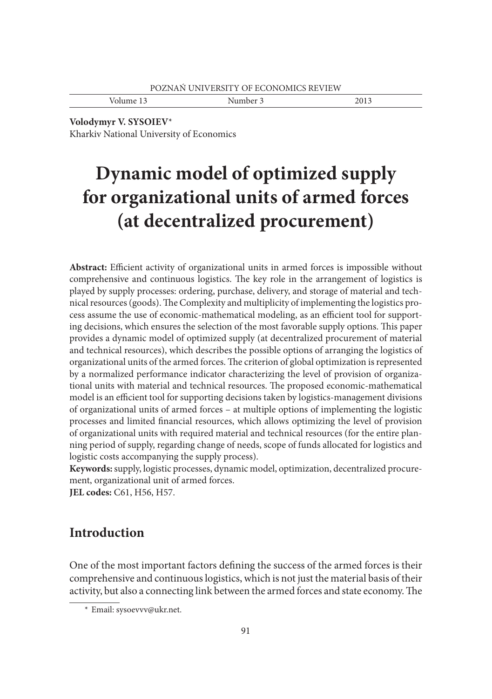Volume 13 Number 3 2013

**Volodymyr V. SYSOIEV**\*

Kharkiv National University of Economics

# **Dynamic model of optimized supply for organizational units of armed forces (at decentralized procurement)**

**Abstract:** Efficient activity of organizational units in armed forces is impossible without comprehensive and continuous logistics. The key role in the arrangement of logistics is played by supply processes: ordering, purchase, delivery, and storage of material and technical resources (goods). The Complexity and multiplicity of implementing the logistics process assume the use of economic-mathematical modeling, as an efficient tool for supporting decisions, which ensures the selection of the most favorable supply options. This paper provides a dynamic model of optimized supply (at decentralized procurement of material and technical resources), which describes the possible options of arranging the logistics of organizational units of the armed forces. The criterion of global optimization is represented by a normalized performance indicator characterizing the level of provision of organizational units with material and technical resources. The proposed economic-mathematical model is an efficient tool for supporting decisions taken by logistics-management divisions of organizational units of armed forces – at multiple options of implementing the logistic processes and limited financial resources, which allows optimizing the level of provision of organizational units with required material and technical resources (for the entire planning period of supply, regarding change of needs, scope of funds allocated for logistics and logistic costs accompanying the supply process).

**Keywords:** supply, logistic processes, dynamic model, optimization, decentralized procurement, organizational unit of armed forces.

**JEL codes:** C61, H56, H57.

## **Introduction**

One of the most important factors defining the success of the armed forces is their comprehensive and continuous logistics, which is not just the material basis of their activity, but also a connecting link between the armed forces and state economy. The

 <sup>\*</sup> Email: sysoevvv@ukr.net.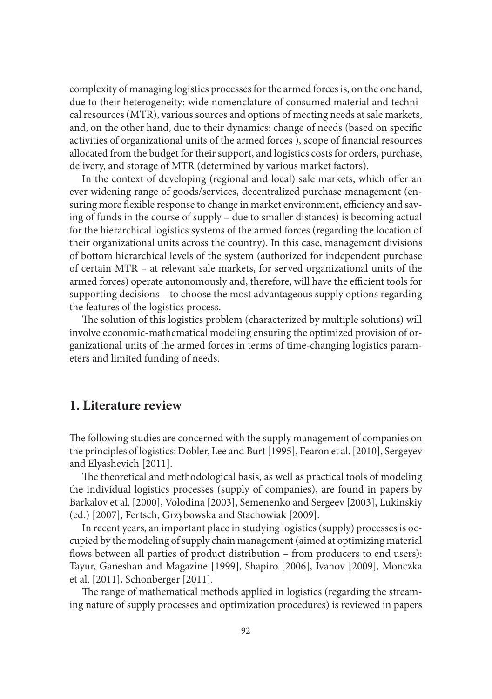complexity of managing logistics processes for the armed forces is, on the one hand, due to their heterogeneity: wide nomenclature of consumed material and technical resources (MTR), various sources and options of meeting needs at sale markets, and, on the other hand, due to their dynamics: change of needs (based on specific activities of organizational units of the armed forces), scope of financial resources allocated from the budget for their support, and logistics costs for orders, purchase, delivery, and storage of MTR (determined by various market factors).

In the context of developing (regional and local) sale markets, which offer an ever widening range of goods/services, decentralized purchase management (ensuring more flexible response to change in market environment, efficiency and saving of funds in the course of supply – due to smaller distances) is becoming actual for the hierarchical logistics systems of the armed forces (regarding the location of their organizational units across the country). In this case, management divisions of bottom hierarchical levels of the system (authorized for independent purchase of certain MTR – at relevant sale markets, for served organizational units of the armed forces) operate autonomously and, therefore, will have the efficient tools for supporting decisions – to choose the most advantageous supply options regarding the features of the logistics process.

The solution of this logistics problem (characterized by multiple solutions) will involve economic-mathematical modeling ensuring the optimized provision of organizational units of the armed forces in terms of time-changing logistics parameters and limited funding of needs.

### **1. Literature review**

The following studies are concerned with the supply management of companies on the principles of logistics: Dobler, Lee and Burt [1995], Fearon еt al. [2010], Sergeyev and Elyashevich [2011].

The theoretical and methodological basis, as well as practical tools of modeling the individual logistics processes (supply of companies), are found in papers by Bаrkalov еt al. [2000], Volodina [2003], Semenenko and Sergeev **[**2003], Lukinskiy (ed.) [2007], Fertsch, Grzybowska and Stachowiak [2009].

In recent years, an important place in studying logistics (supply) processes is occupied by the modeling of supply chain management (aimed at optimizing material flows between all parties of product distribution – from producers to end users): Tayur, Ganeshan and Magazine [1999], Shapiro [2006], Ivanov [2009], Monczka еt al. [2011], Schonberger [2011].

The range of mathematical methods applied in logistics (regarding the streaming nature of supply processes and optimization procedures) is reviewed in papers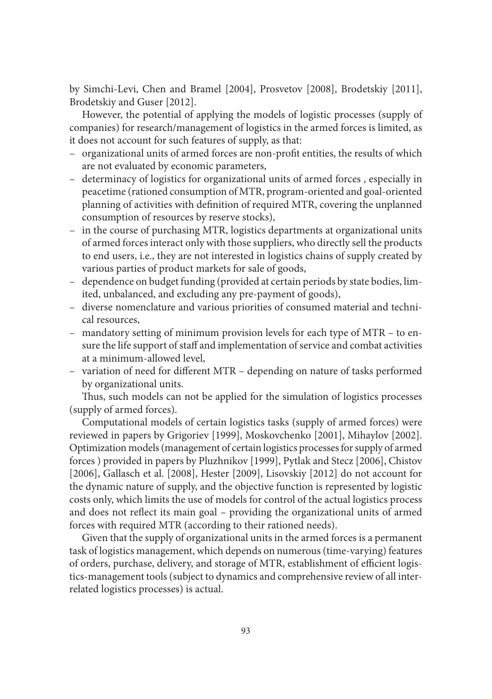by Simchi-Levi, Chen and Bramel [2004], Prosvetov [2008], Brodetskiy [2011], Brodetskiy and Guser [2012].

However, the potential of applying the models of logistic processes (supply of companies) for research/management of logistics in the armed forces is limited, as it does not account for such features of supply, as that:

- organizational units of armed forces are non-profit entities, the results of which are not evaluated by economic parameters,
- determinacy of logistics for organizational units of armed forces , especially in peacetime (rationed consumption of MTR, program-oriented and goal-oriented planning of activities with definition of required MTR, covering the unplanned consumption of resources by reserve stocks),
- in the course of purchasing MTR, logistics departments at organizational units of armed forces interact only with those suppliers, who directly sell the products to end users, i.e., they are not interested in logistics chains of supply created by various parties of product markets for sale of goods,
- dependence on budget funding (provided at certain periods by state bodies, limited, unbalanced, and excluding any pre-payment of goods),
- diverse nomenclature and various priorities of consumed material and technical resources,
- mandatory setting of minimum provision levels for each type of MTR to ensure the life support of staff and implementation of service and combat activities at a minimum-allowed level,
- $-$  variation of need for different MTR  $-$  depending on nature of tasks performed by organizational units.

Thus, such models can not be applied for the simulation of logistics processes (supply of armed forces).

Computational models of certain logistics tasks (supply of armed forces) were reviewed in papers by Grigoriev [1999], Moskovchenko [2001], Mihaylov [2002]. Optimization models (management of certain logistics processes for supply of armed forces ) provided in papers by Pluzhnikov [1999], Pytlak and Stecz [2006], Chistov [2006], Gallasch еt al. [2008], Hester [2009], Lisovskiy [2012] do not account for the dynamic nature of supply, and the objective function is represented by logistic costs only, which limits the use of models for control of the actual logistics process and does not reflect its main goal - providing the organizational units of armed forces with required MTR (according to their rationed needs).

Given that the supply of organizational units in the armed forces is a permanent task of logistics management, which depends on numerous (time-varying) features of orders, purchase, delivery, and storage of MTR, establishment of efficient logistics-management tools (subject to dynamics and comprehensive review of all interrelated logistics processes) is actual.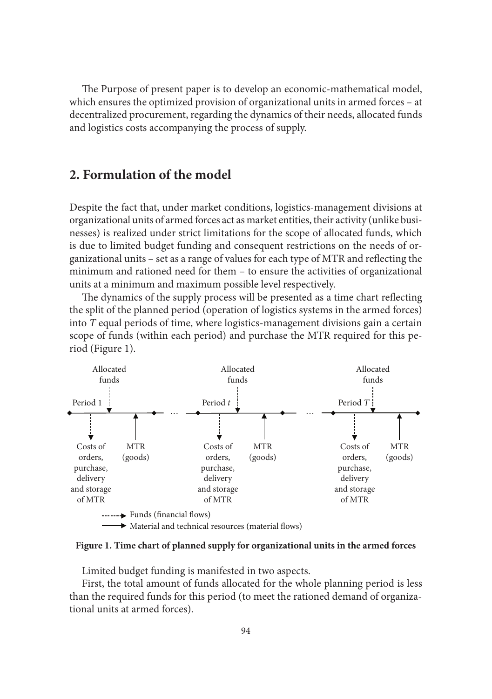The Purpose of present paper is to develop an economic-mathematical model, which ensures the optimized provision of organizational units in armed forces – at decentralized procurement, regarding the dynamics of their needs, allocated funds and logistics costs accompanying the process of supply.

#### **2. Formulation of the model**

Despite the fact that, under market conditions, logistics-management divisions at organizational units of armed forces act as market entities, their activity (unlike businesses) is realized under strict limitations for the scope of allocated funds, which is due to limited budget funding and consequent restrictions on the needs of organizational units – set as a range of values for each type of MTR and reflecting the minimum and rationed need for them – to ensure the activities of organizational units at a minimum and maximum possible level respectively.

The dynamics of the supply process will be presented as a time chart reflecting the split of the planned period (operation of logistics systems in the armed forces) into *T* equal periods of time, where logistics-management divisions gain a certain scope of funds (within each period) and purchase the MTR required for this period (Figure 1).



**Figure 1. Time chart of planned supply for organizational units in the armed forces**

Limited budget funding is manifested in two aspects.

First, the total amount of funds allocated for the whole planning period is less than the required funds for this period (to meet the rationed demand of organizational units at armed forces).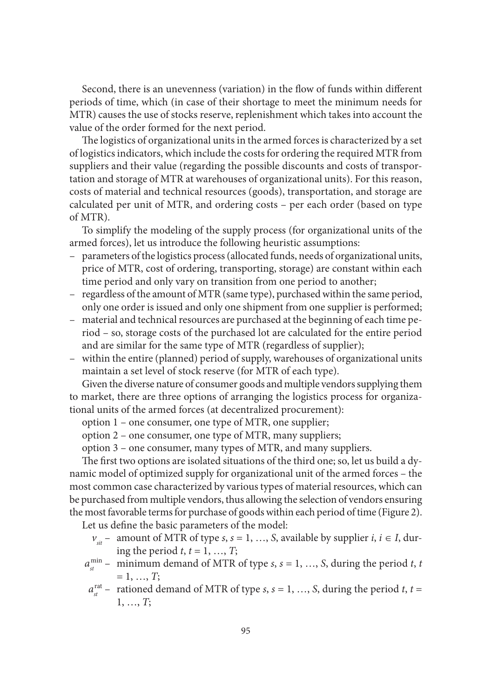Second, there is an unevenness (variation) in the flow of funds within different periods of time, which (in case of their shortage to meet the minimum needs for MTR) causes the use of stocks reserve, replenishment which takes into account the value of the order formed for the next period.

The logistics of organizational units in the armed forces is characterized by a set of logistics indicators, which include the costs for ordering the required MTR from suppliers and their value (regarding the possible discounts and costs of transportation and storage of MTR at warehouses of organizational units). For this reason, costs of material and technical resources (goods), transportation, and storage are calculated per unit of MTR, and ordering costs – per each order (based on type of MTR).

To simplify the modeling of the supply process (for organizational units of the armed forces), let us introduce the following heuristic assumptions:

- parameters of the logistics process (allocated funds, needs of organizational units, price of MTR, cost of ordering, transporting, storage) are constant within each time period and only vary on transition from one period to another;
- regardless of the amount of MTR (same type), purchased within the same period, only one order is issued and only one shipment from one supplier is performed;
- material and technical resources are purchased at the beginning of each time period – so, storage costs of the purchased lot are calculated for the entire period and are similar for the same type of MTR (regardless of supplier);
- within the entire (planned) period of supply, warehouses of organizational units maintain a set level of stock reserve (for MTR of each type).

Given the diverse nature of consumer goods and multiple vendors supplying them to market, there are three options of arranging the logistics process for organizational units of the armed forces (at decentralized procurement):

option 1 – one consumer, one type of MTR, one supplier;

option 2 – one consumer, one type of MTR, many suppliers;

option 3 – one consumer, many types of MTR, and many suppliers.

The first two options are isolated situations of the third one; so, let us build a dynamic model of optimized supply for organizational unit of the armed forces – the most common case characterized by various types of material resources, which can be purchased from multiple vendors, thus allowing the selection of vendors ensuring the most favorable terms for purchase of goods within each period of time (Figure 2).

Let us define the basic parameters of the model:

- $v_{\text{st}}$  amount of MTR of type *s*, *s* = 1, ..., *S*, available by supplier *i*, *i*  $\in$  *I*, during the period  $t, t = 1, ..., T$ ;
- $a_{st}^{\min}$  minimum demand of MTR of type *s*, *s* = 1, …, *S*, during the period *t*, *t*  $= 1, ..., T;$ 
	- $a_{st}^{rat}$  rationed demand of MTR of type *s*, *s* = 1, …, *S*, during the period *t*, *t* = 1, …, *T*;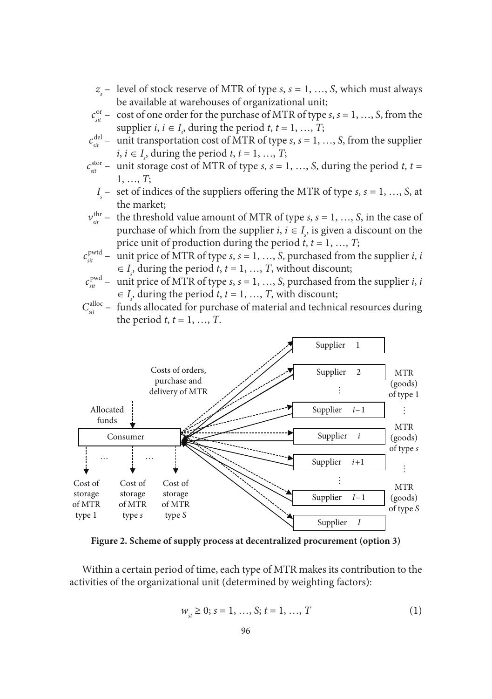- *zs* – level of stock reserve of MTR of type *s*, *s* = 1, …, *S*, which must always be available at warehouses of organizational unit;
- $c_{\textit{sit}}^{\textit{or}}$  cost of one order for the purchase of MTR of type *s*, *s* = 1, …, *S*, from the supplier *i*, *i*  $\in I_s$ , during the period *t*, *t* = 1, ..., *T*;
- $c_{\textit{sit}}^{\text{del}}$  unit transportation cost of MTR of type *s*, *s* = 1, …, *S*, from the supplier *i*, *i*  $\in$  *I<sub>s</sub>*, during the period *t*, *t* = 1, ..., *T*;
- $c_{\textit{sit}}^{\text{stor}}$  unit storage cost of MTR of type *s*, *s* = 1, …, *S*, during the period *t*, *t* = 1, …, *T*;
	- $I_s$  set of indices of the suppliers offering the MTR of type *s*, *s* = 1, …, *S*, at the market;
- $v_{\textit{sit}}^{\text{thr}}$  the threshold value amount of MTR of type *s*, *s* = 1, …, *S*, in the case of purchase of which from the supplier *i*,  $i \in I_s$ , is given a discount on the price unit of production during the period  $t, t = 1, ..., T$ ;
- $c^{\text{pwd}}$  unit price of MTR of type  $s$ ,  $s = 1, ..., S$ , purchased from the supplier  $i$ ,  $i$  $\in I$ , during the period *t*, *t* = 1, …, *T*, without discount;
- $c_{\textit{\text{sit}}}^{\text{pwd}}$  unit price of MTR of type  $s$ ,  $s = 1, ..., S$ , purchased from the supplier  $i$ ,  $i$  $\in I$ <sub>s</sub>, during the period *t*, *t* = 1, ..., *T*, with discount;
- $C_{\textit{sit}}^{\textit{alloc}}$  funds allocated for purchase of material and technical resources during the period *t*,  $t = 1, ..., T$ .



**Figure 2. Scheme of supply process at decentralized procurement (option 3)**

Within a certain period of time, each type of MTR makes its contribution to the activities of the organizational unit (determined by weighting factors):

$$
w_{st} \ge 0; s = 1, ..., S; t = 1, ..., T
$$
 (1)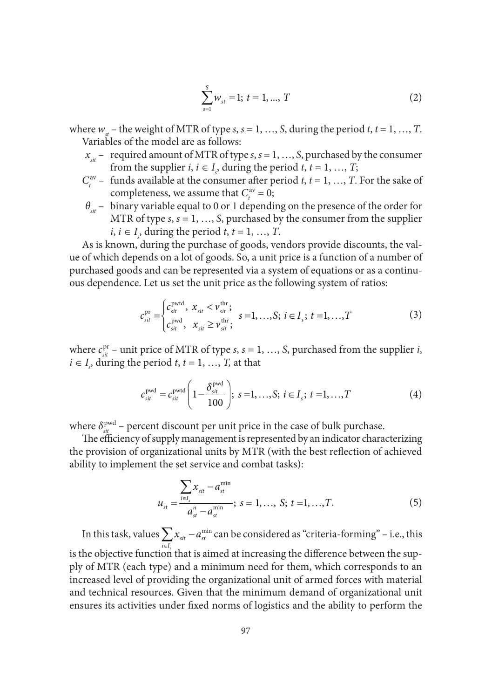$$
\sum_{s=1}^{S} w_{st} = 1; t = 1, ..., T
$$
 (2)

where  $w_a$  – the weight of MTR of type *s*, *s* = 1, …, *S*, during the period *t*, *t* = 1, …, *T*. Variables of the model are as follows:

- $x_{\text{st}}$  required amount of MTR of type *s*, *s* = 1, ..., *S*, purchased by the consumer from the supplier *i*,  $i \in I_s$ , during the period *t*,  $t = 1, ..., T$ ;
- $C_t^{\text{av}}$  funds available at the consumer after period *t*, *t* = 1, …, *T*. For the sake of completeness, we assume that  $C_t^{\text{av}} = 0$ ;
- *θsit* binary variable equal to 0 or 1 depending on the presence of the order for MTR of type *s*, *s* = 1, …, *S*, purchased by the consumer from the supplier  $i, i \in I_s$ , during the period  $t, t = 1, ..., T$ .

As is known, during the purchase of goods, vendors provide discounts, the value of which depends on a lot of goods. So, a unit price is a function of a number of purchased goods and can be represented via a system of equations or as a continuous dependence. Let us set the unit price as the following system of ratios:

$$
c_{\textit{sit}}^{\text{pr}} = \begin{cases} c_{\textit{sit}}^{\text{pvtd}}, & x_{\textit{sit}} < \nu_{\textit{sit}}^{\text{thr}}; \\ c_{\textit{sit}}^{\text{pvtd}}, & x_{\textit{sit}} \ge \nu_{\textit{sit}}^{\text{thr}}; \end{cases} \quad s = 1, \dots, S; \ i \in I_s; \ t = 1, \dots, T \tag{3}
$$

where  $c_{\text{si}}^{\text{pr}}$  – unit price of MTR of type *s*, *s* = 1, …, *S*, purchased from the supplier *i*,  $i \in I_s$ , during the period  $t, t = 1, ..., T$ , at that

$$
c_{\text{sit}}^{\text{pwd}} = c_{\text{sit}}^{\text{pwd}} \left( 1 - \frac{\delta_{\text{sit}}^{\text{pwd}}}{100} \right); \ s = 1, ..., S; \ i \in I_s; \ t = 1, ..., T \tag{4}
$$

where  $\delta_{\textit{sit}}^{\text{pwd}}$  – percent discount per unit price in the case of bulk purchase.

The efficiency of supply management is represented by an indicator characterizing the provision of organizational units by MTR (with the best reflection of achieved ability to implement the set service and combat tasks):

$$
u_{st} = \frac{\sum_{i \in I_s} x_{sit} - a_{st}^{\min}}{a_{st}^{\mu} - a_{st}^{\min}}; \ s = 1, ..., S; \ t = 1, ..., T.
$$
 (5)

In this task, values  $\sum_{i \in I_s} x_{\scriptscriptstyle{sit}} - a_{\scriptscriptstyle{st}}^{\scriptscriptstyle{\min}}$ is the objective function that is aimed at increasing the difference between the sup $x_{\rm\scriptscriptstyle{sit}} - a$  $\sum_{i\in I_s} x_{\text{\tiny sit}} - a_{\text{\tiny st}}^{\min}$  can be considered as "criteria-forming" – i.e., this ply of MTR (each type) and a minimum need for them, which corresponds to an increased level of providing the organizational unit of armed forces with material and technical resources. Given that the minimum demand of organizational unit ensures its activities under fixed norms of logistics and the ability to perform the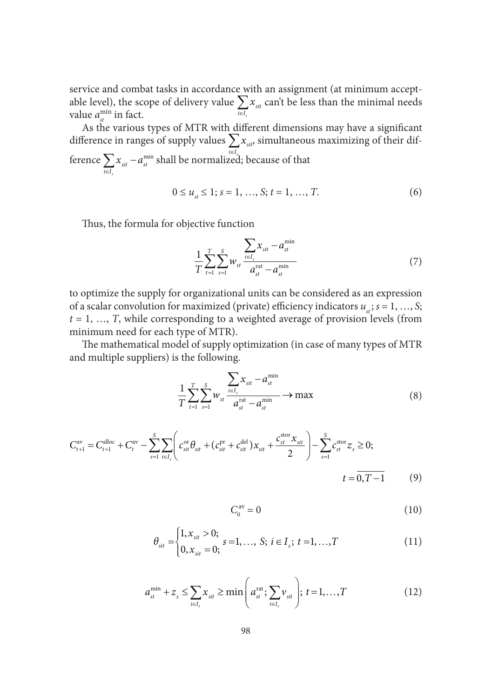service and combat tasks in accordance with an assignment (at minimum acceptable level), the scope of delivery value *s*  $\sum_{i \in I_s} \alpha_{sit}$ *x*  $\sum_{i \in I_s} x_{\textit{sit}}$  can't be less than the minimal needs value  $a_{st}^{\min}$  in fact.

As the various types of MTR with different dimensions may have a significant difference in ranges of supply values  $\sum x_{si}$ , simultaneous maximizing of their difference  $\sum_{i \in I_s} x_{sit} - a_{st}^{\min}$  shall be normalized *s*  $x_{\rm sit} - a$  $\sum_{i \in I_s} x_{\scriptscriptstyle sit} - a_{\scriptscriptstyle s t}^{\scriptscriptstyle \min}$  shall be normalized; because of that

 $0 \le u_{st} \le 1; s = 1, ..., S; t = 1, ..., T.$  (6)

Thus, the formula for objective function

$$
\frac{1}{T} \sum_{t=1}^{T} \sum_{s=1}^{S} w_{st} \frac{\sum_{i \in I_s} x_{sit} - a_{st}^{\min}}{a_{st}^{\text{rat}} - a_{st}^{\min}} \tag{7}
$$

to optimize the supply for organizational units can be considered as an expression of a scalar convolution for maximized (private) efficiency indicators  $u_{st}$ ;  $s = 1, ..., S$ ; *t* = 1, …, *T*, while corresponding to a weighted average of provision levels (from minimum need for each type of MTR).

The mathematical model of supply optimization (in case of many types of MTR and multiple suppliers) is the following.

$$
\frac{1}{T} \sum_{t=1}^{T} \sum_{s=1}^{S} w_{st} \frac{\sum_{i \in I_s} x_{sit} - a_{st}^{\min}}{a_{st}^{\text{rat}} - a_{st}^{\min}} \to \max
$$
(8)

$$
C_{t+1}^{\text{av}} = C_{t+1}^{\text{alloc}} + C_t^{\text{av}} - \sum_{s=1}^{S} \sum_{i \in I_s} \left( c_{sit}^{\text{or}} \theta_{sit} + (c_{sit}^{\text{pr}} + c_{sit}^{\text{del}}) x_{sit} + \frac{c_{st}^{\text{stor}} x_{sit}}{2} \right) - \sum_{s=1}^{S} c_{st}^{\text{stor}} z_s \ge 0; \tag{9}
$$

$$
C_0^{\text{av}} = 0 \tag{10}
$$

$$
\theta_{sit} = \begin{cases} 1, x_{sit} > 0; & s = 1, \dots, S; \ i \in I_s; \ t = 1, \dots, T \\ 0, x_{sit} = 0; & s = 0 \end{cases} \tag{11}
$$

$$
a_{st}^{\min} + z_s \le \sum_{i \in I_s} x_{sit} \ge \min\left(a_{st}^{\text{rat}}; \sum_{i \in I_s} v_{sit}\right); \ t = 1, \dots, T \tag{12}
$$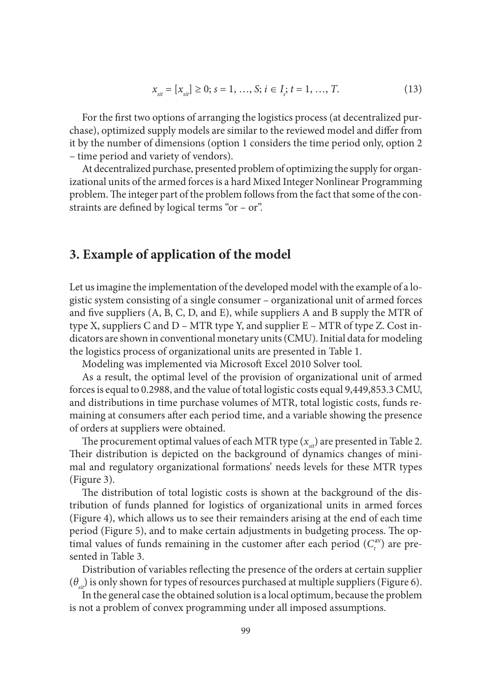$$
x_{\text{sit}} = [x_{\text{sit}}] \ge 0; s = 1, ..., S; i \in I_s; t = 1, ..., T.
$$
 (13)

For the first two options of arranging the logistics process (at decentralized purchase), optimized supply models are similar to the reviewed model and differ from it by the number of dimensions (option 1 considers the time period only, option 2 – time period and variety of vendors).

At decentralized purchase, presented problem of optimizing the supply for organizational units of the armed forces is a hard Mixed Integer Nonlinear Programming problem. The integer part of the problem follows from the fact that some of the constraints are defined by logical terms "or – or".

### **3. Example of application of the model**

Let us imagine the implementation of the developed model with the example of a logistic system consisting of a single consumer – organizational unit of armed forces and five suppliers  $(A, B, C, D, and E)$ , while suppliers A and B supply the MTR of type X, suppliers C and D – MTR type Y, and supplier E – MTR of type Z. Cost indicators are shown in conventional monetary units (CMU). Initial data for modeling the logistics process of organizational units are presented in Table 1.

Modeling was implemented via Microsoft Excel 2010 Solver tool.

As a result, the optimal level of the provision of organizational unit of armed forces is equal to 0.2988, and the value of total logistic costs equal 9,449,853.3 CMU, and distributions in time purchase volumes of MTR, total logistic costs, funds remaining at consumers after each period time, and a variable showing the presence of orders at suppliers were obtained.

The procurement optimal values of each MTR type  $(x_{si})$  are presented in Table 2. Their distribution is depicted on the background of dynamics changes of minimal and regulatory organizational formations' needs levels for these MTR types (Figure 3).

The distribution of total logistic costs is shown at the background of the distribution of funds planned for logistics of organizational units in armed forces (Figure 4), which allows us to see their remainders arising at the end of each time period (Figure 5), and to make certain adjustments in budgeting process. The optimal values of funds remaining in the customer after each period  $(C_t^{\text{av}})$  are presented in Table 3.

Distribution of variables reflecting the presence of the orders at certain supplier  $(\theta_{\mu})$  is only shown for types of resources purchased at multiple suppliers (Figure 6).

In the general case the obtained solution is a local optimum, because the problem is not a problem of convex programming under all imposed assumptions.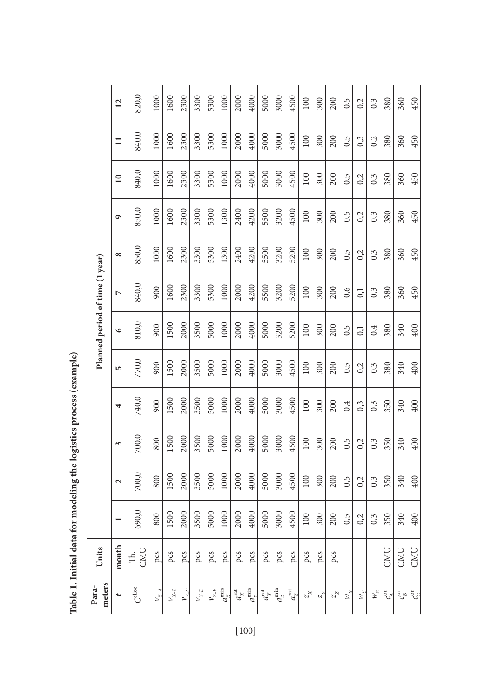| meters<br>Para-             | Units     |                          |                   |       |       |       | Planned period of time (1 year) |                |          |       |                 |          |                 |
|-----------------------------|-----------|--------------------------|-------------------|-------|-------|-------|---------------------------------|----------------|----------|-------|-----------------|----------|-----------------|
|                             | month     | $\overline{\phantom{0}}$ | $\mathbf{\Omega}$ | 3     | 4     | 5     | $\bullet$                       | $\overline{ }$ | $\infty$ | ٩     | $\overline{10}$ | $\equiv$ | $\overline{12}$ |
| $\mathbf{C}^{\text{alloc}}$ | CMU<br>Ę. | 690,0                    | 700,0             | 700,0 | 740,0 | 770,0 | 810,0                           | 840,0          | 850,0    | 850,0 | 840,0           | 840,0    | 820,0           |
| $\nu_{_{X\!-\!\varDelta}}$  | pcs       | 800                      | 800               | 800   | 900   | 900   | 900                             | 900            | 1000     | 1000  | 1000            | 1000     | 1000            |
| $\nu_{_{X\!-\!B}}$          | pcs       | 1500                     | 1500              | 1500  | 1500  | 1500  | 1500                            | 1600           | 1600     | 1600  | 1600            | 1600     | 1600            |
| $\nu_{_{Y\!-\!C}}$          | pcs       | 2000                     | 2000              | 2000  | 2000  | 2000  | 2000                            | 2300           | 2300     | 2300  | 2300            | 2300     | 2300            |
| $\nu_{\gamma_{-D}}$         | pcs       | 3500                     | 3500              | 3500  | 3500  | 3500  | 3500                            | 3300           | 3300     | 3300  | 3300            | 3300     | 3300            |
| $\nu_{\text{z-E}}$          | pcs       | 5000                     | 5000              | 5000  | 5000  | 5000  | 5000                            | 5300           | 5300     | 5300  | 5300            | 5300     | 5300            |
| $a_\chi^{\rm min}$          | pcs       | 1000                     | 1000              | 1000  | 1000  | 1000  | 1000                            | 1000           | 1300     | 1300  | 1000            | 1000     | 1000            |
| $a_{\chi}^{\rm rat}$        | pcs       | 2000                     | 2000              | 2000  | 2000  | 2000  | 2000                            | 2000           | 2400     | 2400  | 2000            | 2000     | 2000            |
| $a_{y}^{\min}$              | pcs       | 4000                     | 4000              | 4000  | 4000  | 4000  | 4000                            | 4200           | 4200     | 4200  | 4000            | 4000     | 4000            |
| $a_{\rm v}^{\rm rat}$       | pcs       | 5000                     | 5000              | 5000  | 5000  | 5000  | 5000                            | 5500           | 5500     | 5500  | 5000            | 5000     | 5000            |
| $a^{\rm min}_Z$             | pcs       | 3000                     | 3000              | 3000  | 3000  | 3000  | 3200                            | 3200           | 3200     | 3200  | 3000            | 3000     | 3000            |
| $a_{7}^{\mathrm{rat}}$      | pcs       | 4500                     | 4500              | 4500  | 4500  | 4500  | 5200                            | 5200           | 5200     | 4500  | 4500            | 4500     | 4500            |
| $z_{\rm x}$                 | pcs       | 100                      | 100               | 100   | 100   | 100   | 100                             | 100            | 100      | 100   | 100             | 100      | 100             |
| $z_{\rm v}$                 | pcs       | 300                      | 300               | 300   | 300   | 300   | 300                             | 300            | 300      | 300   | 300             | 300      | 300             |
| $z_{\mathrm{z}}$            | pcs       | 200                      | 200               | 200   | 200   | 200   | 200                             | 200            | 200      | 200   | 200             | 200      | 200             |
| $\mathcal{W}_{\mathbf{y}}$  |           | 0,5                      | 0,5               | 0,5   | 0,4   | 0,5   | 0,5                             | 0,6            | 0,5      | 0,5   | 0,5             | 0,5      | 0,5             |
| $\mathcal{W}_{\mathbf{v}}$  |           | 0,2                      | 0,2               | 0,2   | 0,3   | 0,2   | 0,1                             | 0,1            | 0,2      | 0,2   | 0,2             | 0,3      | 0,2             |
| $W_{Z}$                     |           | 0,3                      | 0,3               | 0,3   | 0,3   | 0,3   | 0,4                             | 0,3            | 0,3      | 0,3   | 0,3             | 0,2      | 0,3             |
| $c_{\cal A}^{\rm or}$       | CMU       | 350                      | 350               | 350   | 350   | 380   | 380                             | 380            | 380      | 380   | 380             | 380      | 380             |
| $c_{_B}^{\rm cr}$           | CMU       | 340                      | 340               | 340   | 340   | 340   | 340                             | 360            | 360      | 360   | 360             | 360      | 360             |
| ್ಯೆ                         | CMU       | 400                      | 400               | 400   | 400   | 400   | 400                             | 450            | 450      | 450   | 450             | 450      | 450             |

Table 1. Initial data for modeling the logistics process (example) **Table 1. Initial data for modeling the logistics process (example)**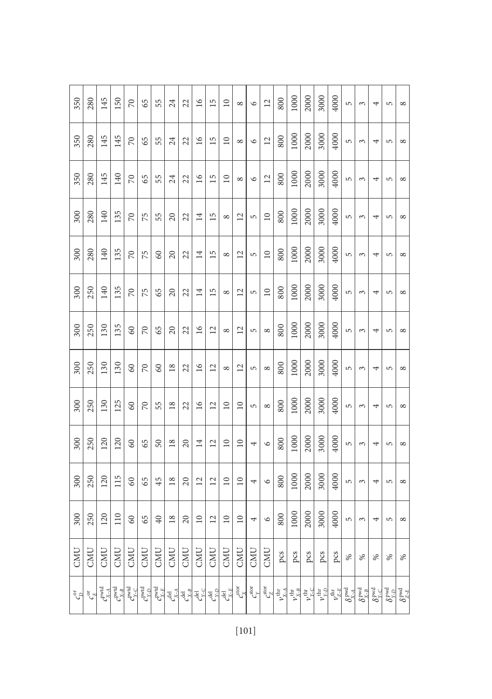| 350                        | 280                  | 145              | 150                               | $\approx$          | 65               | 55                                | 24                     | 22                               | $\overline{16}$                 | 15                             | $\Box$                                 | $^{\circ}$      | $\circ$                       | $\overline{2}$                  | 800                       | 1000                  | 2000                      | 3000                      | 4000                  | 5                          | ξ                           | 4                                   | 5                                     | ${}^{\circ}$                 |
|----------------------------|----------------------|------------------|-----------------------------------|--------------------|------------------|-----------------------------------|------------------------|----------------------------------|---------------------------------|--------------------------------|----------------------------------------|-----------------|-------------------------------|---------------------------------|---------------------------|-----------------------|---------------------------|---------------------------|-----------------------|----------------------------|-----------------------------|-------------------------------------|---------------------------------------|------------------------------|
| 350                        | 280                  | 145              | 145                               | $\approx$          | 65               | 55                                | 24                     | 22                               | $\geq$                          | 15                             | $\supseteq$                            | $\infty$        | $\circ$                       | $\overline{2}$                  | 800                       | 1000                  | 2000                      | 3000                      | 4000                  | 5                          | 3                           | 4                                   | 5                                     | ${}^{\circ}$                 |
| 350                        | 280                  | 145              | 140                               | 70                 | 65               | 55                                | 24                     | 22                               | 16                              | 15                             | $\overline{10}$                        | $\infty$        | $\circ$                       | $\overline{12}$                 | 800                       | 1000                  | 2000                      | 3000                      | 4000                  | 5                          | 3                           | 4                                   | 5                                     | ${}^{\circ}$                 |
| 300                        | 280                  | 140              | 135                               | 70                 | 75               | 55                                | 20                     | 22                               | 14                              | 15                             | ${}^{\circ}$                           | 12              | 5                             | $\overline{10}$                 | 800                       | 1000                  | 2000                      | 3000                      | 4000                  | 5                          | 3                           | ↤                                   | 5                                     | ${}^{\circ}$                 |
| 300                        | 280                  | 140              | 135                               | 70                 | 75               | 60                                | 20                     | 22                               | 14                              | 15                             | ${}^{\circ}$                           | 12              | 5                             | $\overline{10}$                 | 800                       | 1000                  | 2000                      | 3000                      | 4000                  | 5                          | 3                           | 4                                   | 5                                     | ${}^{\circ}$                 |
| 300                        | 250                  | 140              | 135                               | $\approx$          | 75               | 65                                | $\Omega$               | 22                               | $\overline{14}$                 | 15                             | $\infty$                               | $\overline{c}$  | 5                             | $\supseteq$                     | 800                       | 1000                  | 2000                      | 3000                      | 4000                  | 5                          | 3                           | 4                                   | 5                                     | ${}^{\circ}$                 |
| 300                        | 250                  | 130              | 135                               | $\infty$           | $\sqrt{2}$       | 65                                | $\Omega$               | 22                               | $\overline{16}$                 | $\overline{c}$                 | $\infty$                               | $\overline{12}$ | 5                             | $^{\circ}$                      | 800                       | 1000                  | 2000                      | 3000                      | 4000                  | 5                          | 3                           | 4                                   | 5                                     | ${}^{\circ}$                 |
| 300                        | 250                  | 130              | 130                               | 60                 | 70               | 60                                | 18                     | 22                               | 16                              | $\overline{c}$                 | ${}^{\circ}$                           | 12              | $\overline{5}$                | ${}^{\circ}$                    | 800                       | 1000                  | 2000                      | 3000                      | 4000                  | 5                          | 3                           | 4                                   | 5                                     | ${}^{\circ}$                 |
| 300                        | 250                  | 130              | 125                               | 60                 | 70               | 55                                | 18                     | 22                               | 16                              | $\overline{12}$                | $10$                                   | $\overline{10}$ | 5                             | ${}^{\circ}$                    | 800                       | 1000                  | 2000                      | 3000                      | 4000                  | 5                          | 3                           | 4                                   | 5                                     | ${}^{\circ}$                 |
| 300                        | 250                  | 120              | 120                               | $\odot$            | 65               | $50\,$                            | $\overline{18}$        | $\overline{c}$                   | $\overline{14}$                 | $\overline{2}$                 | $\overline{10}$                        | $\supseteq$     | 4                             | $\circ$                         | 800                       | 1000                  | 2000                      | 3000                      | 4000                  | 5                          | $\epsilon$                  | 4                                   | 5                                     | ${}^{\circ}$                 |
| 300                        | 250                  | 120              | 115                               | $\infty$           | 65               | 45                                | $\frac{8}{18}$         | $\Omega$                         | $\overline{2}$                  | $\overline{c}$                 | $\supseteq$                            | $\supseteq$     | 4                             | $\circ$                         | 800                       | 1000                  | 2000                      | 3000                      | 4000                  | 5                          | $\epsilon$                  | 4                                   | 5                                     | ${}^{\circ}$                 |
| 300                        | 250                  | 120              | 110                               | $60\,$             | 65               | 40                                | $18\,$                 | $20\,$                           | $\overline{10}$                 | $\overline{\mathbf{L}}$        | $\begin{array}{c} 10 \end{array}$      | $10$            | 4                             | $\circ$                         | 800                       | 1000                  | 2000                      | 3000                      | 4000                  | 5                          | $\epsilon$                  | 4                                   | 5                                     | ${}^{\circ}$                 |
| CMU                        | CMU                  | CMU              | CMU                               | CMU                | CMU              | CMU                               | CMU                    | CMU                              | CMU                             | CMU                            | CMU                                    | CMU             | CMU                           | CMU                             | pcs                       | pcs                   | pcs                       | pcs                       | pcs                   | $\%$                       | %                           | $\%$                                | %                                     | $\%$                         |
| $c_{\mathcal{D}}^{\sigma}$ | $c_{\rm E}^{\rm or}$ | $c_{X-A}^{pred}$ | $\mathcal{C}_{X-B}^{\text{pvtd}}$ | porta <sup>1</sup> | C <sub>Y-D</sub> | $\mathcal{C}^{\text{pvtd}}_{X-E}$ | $c_{X-A}^{\text{del}}$ | $\mathcal{L}_{X-B}^{\text{del}}$ | $c_{Y\text{-}C}^{\mathrm{del}}$ | $c_{\rm Y\text{-}D}^{\rm del}$ | $c_{\scriptscriptstyle X-E}^{\rm del}$ | $\sum_{x}$      | $\epsilon_{\rm st}^{\rm tot}$ | $\mathcal{L}^{\text{stor}}_{Z}$ | $\nu^{\rm thr}_{X\!-\!A}$ | $\nu_{X-B}^{\rm thr}$ | $\nu_{Y\!-\!C}^{\rm thr}$ | $\nu_{Y\!-\!D}^{\rm thr}$ | $\nu^{\rm thr}_{Z-E}$ | $\delta_{X-A}^{\rm{prod}}$ | $\delta_{_{X-B}}^{\rm pwd}$ | $\delta_{Y\subset C}^{\text{prod}}$ | $\delta_{_{Y\text{-}D}}^{\text{pwd}}$ | $\delta_{\rm Z-E}^{\rm pwd}$ |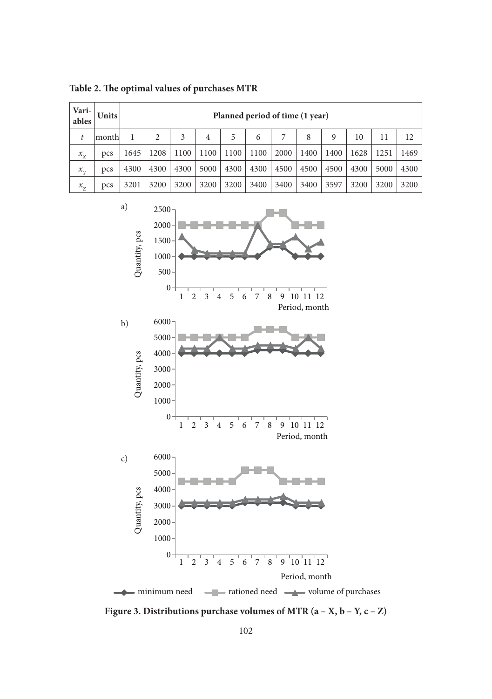| Vari-<br>ables | <b>Units</b> |      |      |      |      |      |      | Planned period of time (1 year) |      |      |      |      |      |
|----------------|--------------|------|------|------|------|------|------|---------------------------------|------|------|------|------|------|
|                | month        |      | 2    | 3    | 4    | 5    | 6    | 7                               | 8    | 9    | 10   | 11   | 12   |
| $x_{x}$        | pcs          | 1645 | 1208 | 1100 | 1100 | 1100 | 1100 | 2000                            | 1400 | 1400 | 1628 | 1251 | 1469 |
| $x_{v}$        | pcs          | 4300 | 4300 | 4300 | 5000 | 4300 | 4300 | 4500                            | 4500 | 4500 | 4300 | 5000 | 4300 |
| $x_{7}$        | pcs          | 3201 | 3200 | 3200 | 3200 | 3200 | 3400 | 3400                            | 3400 | 3597 | 3200 | 3200 | 3200 |

Table 2. The optimal values of purchases MTR



**Figure 3. Distributions purchase volumes of MTR (a – X, b – Y, c – Z)**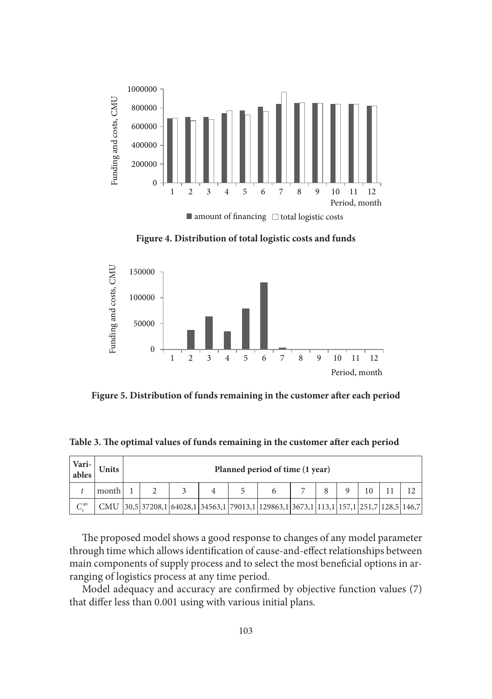

**Figure 4. Distribution of total logistic costs and funds**



Figure 5. Distribution of funds remaining in the customer after each period

| Table 3. The optimal values of funds remaining in the customer after each period |  |  |  |  |  |  |
|----------------------------------------------------------------------------------|--|--|--|--|--|--|
|----------------------------------------------------------------------------------|--|--|--|--|--|--|

| Vari-<br>  ables | Units |  |  | Planned period of time (1 year)                                                        |  |  |  |
|------------------|-------|--|--|----------------------------------------------------------------------------------------|--|--|--|
|                  | month |  |  |                                                                                        |  |  |  |
| $\bigcap$ av     |       |  |  | CMU 30,5 37208,1 64028,1 34563,1 79013,1 129863,1 3673,1 113,1 157,1 251,7 128,5 146,7 |  |  |  |

The proposed model shows a good response to changes of any model parameter through time which allows identification of cause-and-effect relationships between main components of supply process and to select the most beneficial options in arranging of logistics process at any time period.

Model adequacy and accuracy are confirmed by objective function values (7) that differ less than 0.001 using with various initial plans.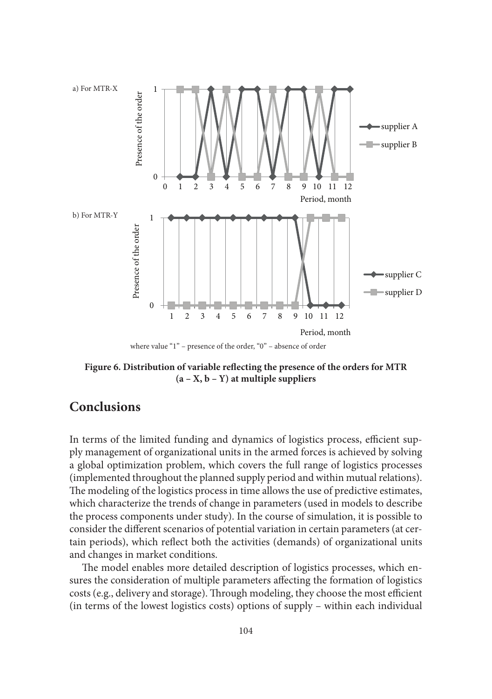

where value "1" – presence of the order, "0" – absence of order

Figure 6. Distribution of variable reflecting the presence of the orders for MTR **(a – X, b – Y) at multiple suppliers**

## **Conclusions**

In terms of the limited funding and dynamics of logistics process, efficient supply management of organizational units in the armed forces is achieved by solving a global optimization problem, which covers the full range of logistics processes (implemented throughout the planned supply period and within mutual relations). The modeling of the logistics process in time allows the use of predictive estimates, which characterize the trends of change in parameters (used in models to describe the process components under study). In the course of simulation, it is possible to consider the different scenarios of potential variation in certain parameters (at certain periods), which reflect both the activities (demands) of organizational units and changes in market conditions.

The model enables more detailed description of logistics processes, which ensures the consideration of multiple parameters affecting the formation of logistics costs (e.g., delivery and storage). Through modeling, they choose the most efficient (in terms of the lowest logistics costs) options of supply – within each individual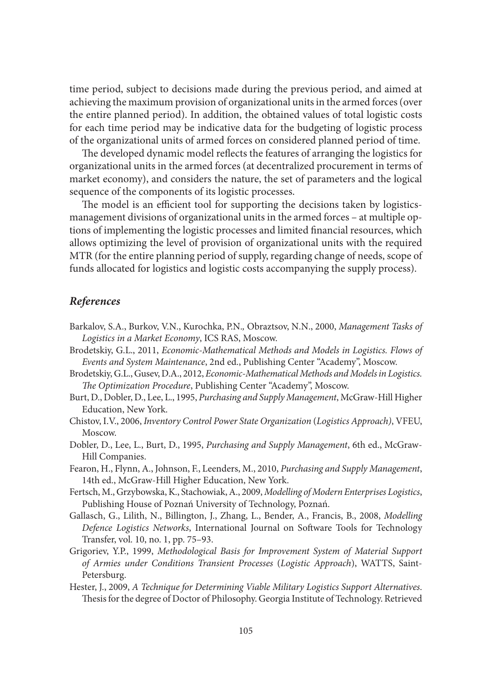time period, subject to decisions made during the previous period, and aimed at achieving the maximum provision of organizational units in the armed forces (over the entire planned period). In addition, the obtained values of total logistic costs for each time period may be indicative data for the budgeting of logistic process of the organizational units of armed forces on considered planned period of time.

The developed dynamic model reflects the features of arranging the logistics for organizational units in the armed forces (at decentralized procurement in terms of market economy), and considers the nature, the set of parameters and the logical sequence of the components of its logistic processes.

The model is an efficient tool for supporting the decisions taken by logisticsmanagement divisions of organizational units in the armed forces – at multiple options of implementing the logistic processes and limited financial resources, which allows optimizing the level of provision of organizational units with the required MTR (for the entire planning period of supply, regarding change of needs, scope of funds allocated for logistics and logistic costs accompanying the supply process).

#### *References*

- Barkalov, S.A., Burkov, V.N., Kurochka, P.N.*,* Оbraztsov, N.N., 2000, *Management Tasks of Logistics in a Market Economy*, ICS RAS, Moscow.
- Brodetskiy, G.L., 2011, *Economic-Mathematical Methods and Models in Logistics. Flows of Events and System Maintenance*, 2nd ed., Publishing Center "Academy", Moscow.
- Brodetskiy, G.L., Gusev, D.A., 2012, *Economic-Mathematical Methods and Models in Logistics.*  The Optimization Procedure, Publishing Center "Academy", Moscow.
- Burt, D., Dobler, D., Lee, L., 1995, *Purchasing and Supply Management*, McGraw-Hill Higher Education, New York.
- Chistov, I.V., 2006, *Inventory Control Power State Organization* (*Logistics Approach)*, VFEU, Moscow.
- Dobler, D., Lee, L., Burt, D., 1995, *Purchasing and Supply Management*, 6th ed., McGraw-Hill Companies.
- Fearon, H., Flynn, A., Johnson, F., Leenders, M., 2010, *Purchasing and Supply Management*, 14th ed., McGraw-Hill Higher Education, New York.
- Fertsch, M., Grzybowska, K., Stachowiak, A., 2009, *Modelling of Modern Enterprises Logistics*, Publishing House of Poznań University of Technology, Poznań.
- Gallasch, G., Lilith, N., Billington, J., Zhang, L., Bender, A., Francis, B., 2008, *Modelling Defence Logistics Networks*, International Journal on Software Tools for Technology Transfer, vol. 10, no. 1, pp. 75–93.
- Grigoriev, Y.P., 1999, *Methodological Basis for Improvement System of Material Support of Armies under Conditions Transient Processes* (*Logistic Approach*), WATTS, Saint-Petersburg.
- Hester, J., 2009, *A Technique for Determining Viable Military Logistics Support Alternatives*. Thesis for the degree of Doctor of Philosophy. Georgia Institute of Technology. Retrieved